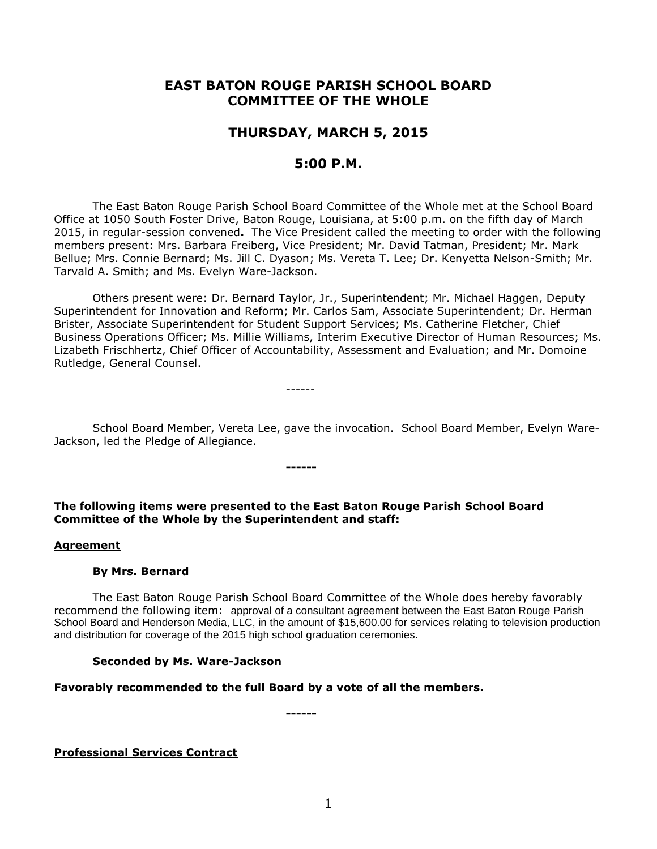# **EAST BATON ROUGE PARISH SCHOOL BOARD COMMITTEE OF THE WHOLE**

# **THURSDAY, MARCH 5, 2015**

# **5:00 P.M.**

The East Baton Rouge Parish School Board Committee of the Whole met at the School Board Office at 1050 South Foster Drive, Baton Rouge, Louisiana, at 5:00 p.m. on the fifth day of March 2015, in regular-session convened**.** The Vice President called the meeting to order with the following members present: Mrs. Barbara Freiberg, Vice President; Mr. David Tatman, President; Mr. Mark Bellue; Mrs. Connie Bernard; Ms. Jill C. Dyason; Ms. Vereta T. Lee; Dr. Kenyetta Nelson-Smith; Mr. Tarvald A. Smith; and Ms. Evelyn Ware-Jackson.

Others present were: Dr. Bernard Taylor, Jr., Superintendent; Mr. Michael Haggen, Deputy Superintendent for Innovation and Reform; Mr. Carlos Sam, Associate Superintendent; Dr. Herman Brister, Associate Superintendent for Student Support Services; Ms. Catherine Fletcher, Chief Business Operations Officer; Ms. Millie Williams, Interim Executive Director of Human Resources; Ms. Lizabeth Frischhertz, Chief Officer of Accountability, Assessment and Evaluation; and Mr. Domoine Rutledge, General Counsel.

------

School Board Member, Vereta Lee, gave the invocation. School Board Member, Evelyn Ware-Jackson, led the Pledge of Allegiance.

**The following items were presented to the East Baton Rouge Parish School Board Committee of the Whole by the Superintendent and staff:**

**------**

### **Agreement**

### **By Mrs. Bernard**

The East Baton Rouge Parish School Board Committee of the Whole does hereby favorably recommend the following item: approval of a consultant agreement between the East Baton Rouge Parish School Board and Henderson Media, LLC, in the amount of \$15,600.00 for services relating to television production and distribution for coverage of the 2015 high school graduation ceremonies.

# **Seconded by Ms. Ware-Jackson**

# **Favorably recommended to the full Board by a vote of all the members.**

**------**

**Professional Services Contract**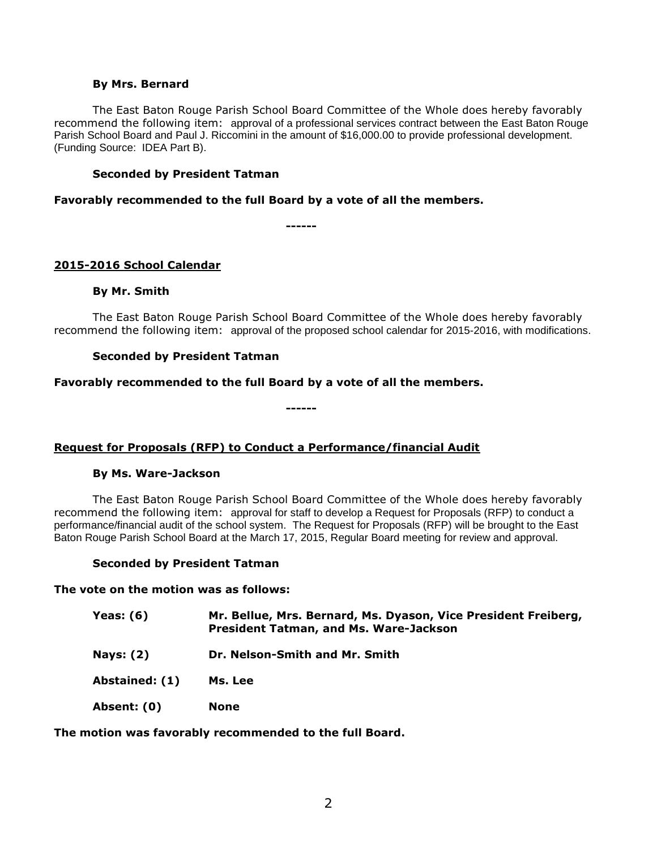### **By Mrs. Bernard**

The East Baton Rouge Parish School Board Committee of the Whole does hereby favorably recommend the following item: approval of a professional services contract between the East Baton Rouge Parish School Board and Paul J. Riccomini in the amount of \$16,000.00 to provide professional development. (Funding Source: IDEA Part B).

## **Seconded by President Tatman**

**Favorably recommended to the full Board by a vote of all the members.**

**------**

# **2015-2016 School Calendar**

## **By Mr. Smith**

The East Baton Rouge Parish School Board Committee of the Whole does hereby favorably recommend the following item: approval of the proposed school calendar for 2015-2016, with modifications.

## **Seconded by President Tatman**

# **Favorably recommended to the full Board by a vote of all the members.**

**------**

# **Request for Proposals (RFP) to Conduct a Performance/financial Audit**

### **By Ms. Ware-Jackson**

The East Baton Rouge Parish School Board Committee of the Whole does hereby favorably recommend the following item: approval for staff to develop a Request for Proposals (RFP) to conduct a performance/financial audit of the school system. The Request for Proposals (RFP) will be brought to the East Baton Rouge Parish School Board at the March 17, 2015, Regular Board meeting for review and approval.

# **Seconded by President Tatman**

**The vote on the motion was as follows:**

| Yeas: (6) | Mr. Bellue, Mrs. Bernard, Ms. Dyason, Vice President Freiberg, |
|-----------|----------------------------------------------------------------|
|           | <b>President Tatman, and Ms. Ware-Jackson</b>                  |

**Nays: (2) Dr. Nelson-Smith and Mr. Smith**

**Abstained: (1) Ms. Lee**

**Absent: (0) None**

**The motion was favorably recommended to the full Board.**